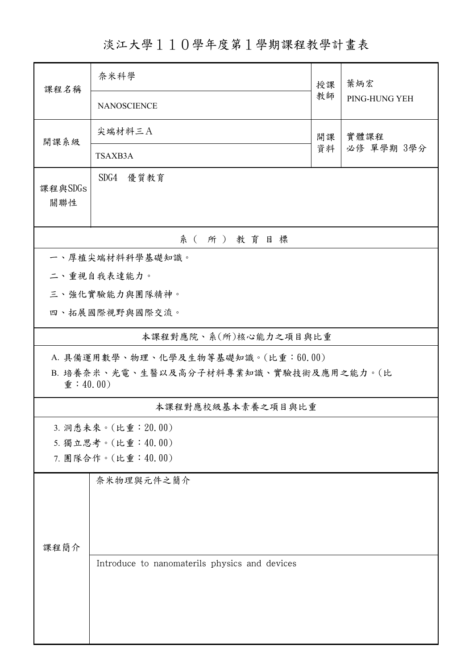淡江大學110學年度第1學期課程教學計畫表

| 課程名稱                                                                                                           | 奈米科學                                          | 授課<br>教師 | 葉炳宏<br>PING-HUNG YEH |  |  |  |  |
|----------------------------------------------------------------------------------------------------------------|-----------------------------------------------|----------|----------------------|--|--|--|--|
|                                                                                                                | <b>NANOSCIENCE</b>                            |          |                      |  |  |  |  |
| 開課系級                                                                                                           | 尖端材料三A                                        | 開課<br>資料 | 實體課程<br>必修 單學期 3學分   |  |  |  |  |
|                                                                                                                | TSAXB3A                                       |          |                      |  |  |  |  |
| 課程與SDGs<br>關聯性                                                                                                 | SDG4 優質教育                                     |          |                      |  |  |  |  |
| 系(所)教育目標                                                                                                       |                                               |          |                      |  |  |  |  |
| 一、厚植尖端材料科學基礎知識。                                                                                                |                                               |          |                      |  |  |  |  |
|                                                                                                                | 二、重視自我表達能力。                                   |          |                      |  |  |  |  |
|                                                                                                                | 三、強化實驗能力與團隊精神。                                |          |                      |  |  |  |  |
| 四、拓展國際視野與國際交流。                                                                                                 |                                               |          |                      |  |  |  |  |
| 本課程對應院、系(所)核心能力之項目與比重                                                                                          |                                               |          |                      |  |  |  |  |
| A. 具備運用數學、物理、化學及生物等基礎知識。(比重:60.00)<br>B. 培養奈米、光電、生醫以及高分子材料專業知識、實驗技術及應用之能力。(比<br>$\hat{\mathbf{\Phi}}$ : 40.00) |                                               |          |                      |  |  |  |  |
| 本課程對應校級基本素養之項目與比重                                                                                              |                                               |          |                      |  |  |  |  |
|                                                                                                                | 3. 洞悉未來。(比重: 20.00)                           |          |                      |  |  |  |  |
| 5. 獨立思考。(比重:40.00)                                                                                             |                                               |          |                      |  |  |  |  |
| 7. 團隊合作。(比重:40.00)                                                                                             |                                               |          |                      |  |  |  |  |
| 課程簡介                                                                                                           | 奈米物理與元件之簡介                                    |          |                      |  |  |  |  |
|                                                                                                                | Introduce to nanomaterils physics and devices |          |                      |  |  |  |  |
|                                                                                                                |                                               |          |                      |  |  |  |  |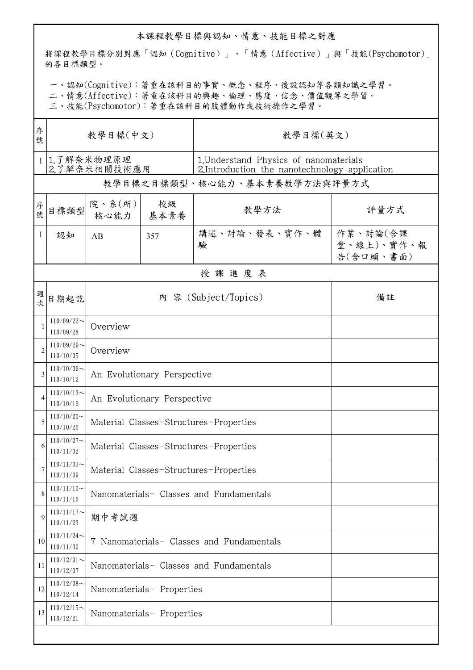## 本課程教學目標與認知、情意、技能目標之對應

將課程教學目標分別對應「認知(Cognitive)」、「情意(Affective)」與「技能(Psychomotor)」 的各目標類型。

一、認知(Cognitive):著重在該科目的事實、概念、程序、後設認知等各類知識之學習。

二、情意(Affective):著重在該科目的興趣、倫理、態度、信念、價值觀等之學習。

三、技能(Psychomotor):著重在該科目的肢體動作或技術操作之學習。

| 序<br>號         | 教學目標(中文)                     |                                           |            | 教學目標(英文)                                                                                |                                     |  |  |  |  |
|----------------|------------------------------|-------------------------------------------|------------|-----------------------------------------------------------------------------------------|-------------------------------------|--|--|--|--|
|                | 1 1.了解奈米物理原理<br>2.了解奈米相關技術應用 |                                           |            | 1. Understand Physics of nanomaterials<br>2.Introduction the nanotechnology application |                                     |  |  |  |  |
|                |                              |                                           |            | 教學目標之目標類型、核心能力、基本素養教學方法與評量方式                                                            |                                     |  |  |  |  |
| 序號             | 目標類型                         | 院、系(所)<br>核心能力                            | 校級<br>基本素養 | 教學方法                                                                                    | 評量方式                                |  |  |  |  |
| $\mathbf{1}$   | 認知                           | AB                                        | 357        | 講述、討論、發表、實作、體<br>驗                                                                      | 作業、討論(含課<br>堂、線上)、實作、報<br>告(含口頭、書面) |  |  |  |  |
|                | 授課進度表                        |                                           |            |                                                                                         |                                     |  |  |  |  |
| 週<br>次         | 日期起訖                         | 內 容 (Subject/Topics)<br>備註                |            |                                                                                         |                                     |  |  |  |  |
|                | $110/09/22$ ~<br>110/09/28   | Overview                                  |            |                                                                                         |                                     |  |  |  |  |
| $\overline{c}$ | $110/09/29$ ~<br>110/10/05   | Overview                                  |            |                                                                                         |                                     |  |  |  |  |
| 3              | $110/10/06$ ~<br>110/10/12   | An Evolutionary Perspective               |            |                                                                                         |                                     |  |  |  |  |
| 4              | $110/10/13$ ~<br>110/10/19   | An Evolutionary Perspective               |            |                                                                                         |                                     |  |  |  |  |
| 5              | $110/10/20$ ~<br>110/10/26   | Material Classes-Structures-Properties    |            |                                                                                         |                                     |  |  |  |  |
| 6              | $110/10/27$ ~<br>110/11/02   | Material Classes-Structures-Properties    |            |                                                                                         |                                     |  |  |  |  |
|                | $110/11/03$ ~<br>110/11/09   | Material Classes-Structures-Properties    |            |                                                                                         |                                     |  |  |  |  |
| 8              | $110/11/10$ ~<br>110/11/16   | Nanomaterials- Classes and Fundamentals   |            |                                                                                         |                                     |  |  |  |  |
| 9              | $110/11/17$ ~<br>110/11/23   | 期中考試週                                     |            |                                                                                         |                                     |  |  |  |  |
| 10             | $110/11/24$ ~<br>110/11/30   | 7 Nanomaterials- Classes and Fundamentals |            |                                                                                         |                                     |  |  |  |  |
| 11             | $110/12/01$ ~<br>110/12/07   | Nanomaterials- Classes and Fundamentals   |            |                                                                                         |                                     |  |  |  |  |
| 12             | $110/12/08$ ~<br>110/12/14   | Nanomaterials- Properties                 |            |                                                                                         |                                     |  |  |  |  |
| 13             | $110/12/15$ ~<br>110/12/21   | Nanomaterials- Properties                 |            |                                                                                         |                                     |  |  |  |  |
|                |                              |                                           |            |                                                                                         |                                     |  |  |  |  |